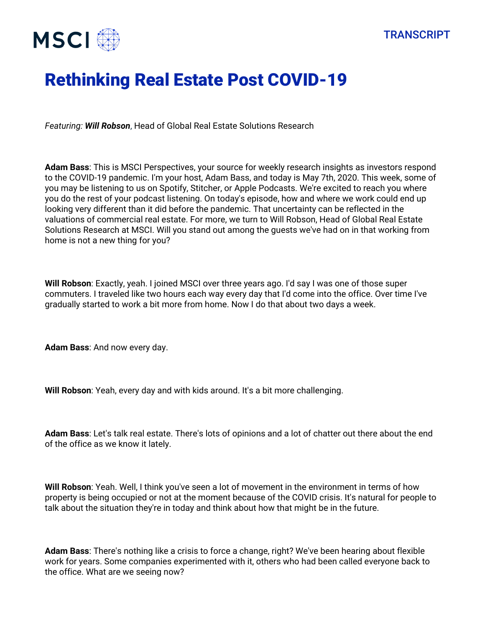

## Rethinking Real Estate Post COVID-19

*Featuring: Will Robson*, Head of Global Real Estate Solutions Research

**Adam Bass**: This is MSCI Perspectives, your source for weekly research insights as investors respond to the COVID-19 pandemic. I'm your host, Adam Bass, and today is May 7th, 2020. This week, some of you may be listening to us on Spotify, Stitcher, or Apple Podcasts. We're excited to reach you where you do the rest of your podcast listening. On today's episode, how and where we work could end up looking very different than it did before the pandemic. That uncertainty can be reflected in the valuations of commercial real estate. For more, we turn to Will Robson, Head of Global Real Estate Solutions Research at MSCI. Will you stand out among the guests we've had on in that working from home is not a new thing for you?

**Will Robson**: Exactly, yeah. I joined MSCI over three years ago. I'd say I was one of those super commuters. I traveled like two hours each way every day that I'd come into the office. Over time I've gradually started to work a bit more from home. Now I do that about two days a week.

**Adam Bass**: And now every day.

**Will Robson**: Yeah, every day and with kids around. It's a bit more challenging.

**Adam Bass**: Let's talk real estate. There's lots of opinions and a lot of chatter out there about the end of the office as we know it lately.

**Will Robson**: Yeah. Well, I think you've seen a lot of movement in the environment in terms of how property is being occupied or not at the moment because of the COVID crisis. It's natural for people to talk about the situation they're in today and think about how that might be in the future.

**Adam Bass**: There's nothing like a crisis to force a change, right? We've been hearing about flexible work for years. Some companies experimented with it, others who had been called everyone back to the office. What are we seeing now?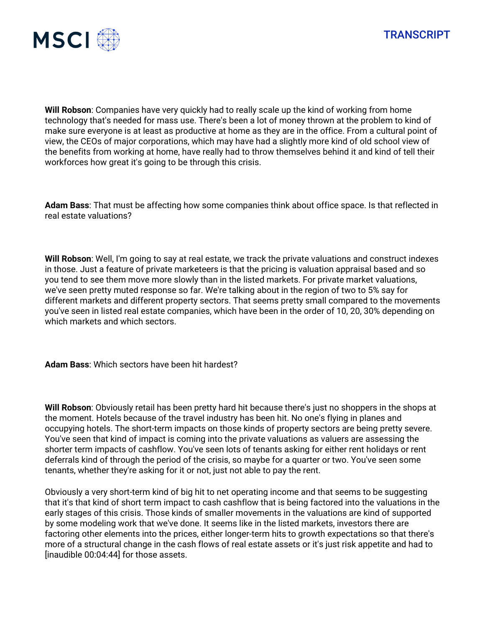



**Will Robson**: Companies have very quickly had to really scale up the kind of working from home technology that's needed for mass use. There's been a lot of money thrown at the problem to kind of make sure everyone is at least as productive at home as they are in the office. From a cultural point of view, the CEOs of major corporations, which may have had a slightly more kind of old school view of the benefits from working at home, have really had to throw themselves behind it and kind of tell their workforces how great it's going to be through this crisis.

**Adam Bass**: That must be affecting how some companies think about office space. Is that reflected in real estate valuations?

**Will Robson**: Well, I'm going to say at real estate, we track the private valuations and construct indexes in those. Just a feature of private marketeers is that the pricing is valuation appraisal based and so you tend to see them move more slowly than in the listed markets. For private market valuations, we've seen pretty muted response so far. We're talking about in the region of two to 5% say for different markets and different property sectors. That seems pretty small compared to the movements you've seen in listed real estate companies, which have been in the order of 10, 20, 30% depending on which markets and which sectors.

**Adam Bass**: Which sectors have been hit hardest?

**Will Robson**: Obviously retail has been pretty hard hit because there's just no shoppers in the shops at the moment. Hotels because of the travel industry has been hit. No one's flying in planes and occupying hotels. The short-term impacts on those kinds of property sectors are being pretty severe. You've seen that kind of impact is coming into the private valuations as valuers are assessing the shorter term impacts of cashflow. You've seen lots of tenants asking for either rent holidays or rent deferrals kind of through the period of the crisis, so maybe for a quarter or two. You've seen some tenants, whether they're asking for it or not, just not able to pay the rent.

Obviously a very short-term kind of big hit to net operating income and that seems to be suggesting that it's that kind of short term impact to cash cashflow that is being factored into the valuations in the early stages of this crisis. Those kinds of smaller movements in the valuations are kind of supported by some modeling work that we've done. It seems like in the listed markets, investors there are factoring other elements into the prices, either longer-term hits to growth expectations so that there's more of a structural change in the cash flows of real estate assets or it's just risk appetite and had to [inaudible 00:04:44] for those assets.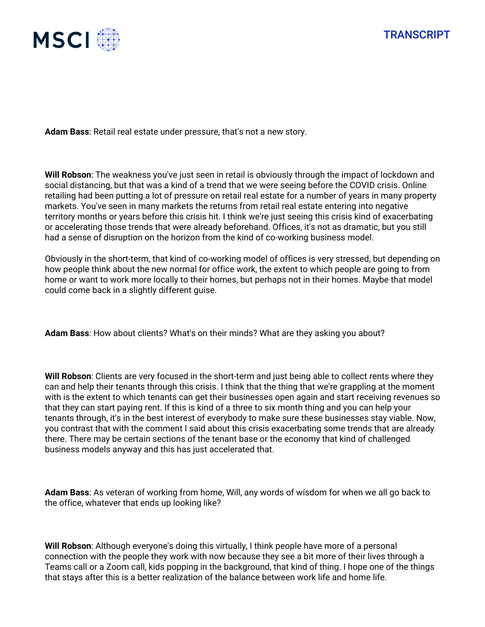



**Adam Bass**: Retail real estate under pressure, that's not a new story.

**Will Robson**: The weakness you've just seen in retail is obviously through the impact of lockdown and social distancing, but that was a kind of a trend that we were seeing before the COVID crisis. Online retailing had been putting a lot of pressure on retail real estate for a number of years in many property markets. You've seen in many markets the returns from retail real estate entering into negative territory months or years before this crisis hit. I think we're just seeing this crisis kind of exacerbating or accelerating those trends that were already beforehand. Offices, it's not as dramatic, but you still had a sense of disruption on the horizon from the kind of co-working business model.

Obviously in the short-term, that kind of co-working model of offices is very stressed, but depending on how people think about the new normal for office work, the extent to which people are going to from home or want to work more locally to their homes, but perhaps not in their homes. Maybe that model could come back in a slightly different guise.

**Adam Bass**: How about clients? What's on their minds? What are they asking you about?

**Will Robson**: Clients are very focused in the short-term and just being able to collect rents where they can and help their tenants through this crisis. I think that the thing that we're grappling at the moment with is the extent to which tenants can get their businesses open again and start receiving revenues so that they can start paying rent. If this is kind of a three to six month thing and you can help your tenants through, it's in the best interest of everybody to make sure these businesses stay viable. Now, you contrast that with the comment I said about this crisis exacerbating some trends that are already there. There may be certain sections of the tenant base or the economy that kind of challenged business models anyway and this has just accelerated that.

**Adam Bass**: As veteran of working from home, Will, any words of wisdom for when we all go back to the office, whatever that ends up looking like?

**Will Robson**: Although everyone's doing this virtually, I think people have more of a personal connection with the people they work with now because they see a bit more of their lives through a Teams call or a Zoom call, kids popping in the background, that kind of thing. I hope one of the things that stays after this is a better realization of the balance between work life and home life.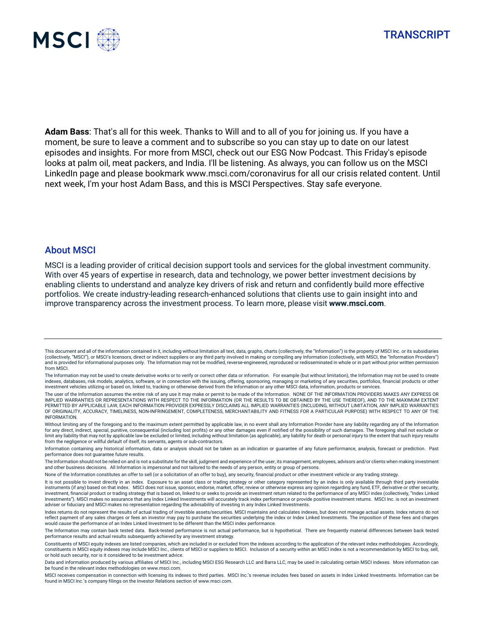

**Adam Bass**: That's all for this week. Thanks to Will and to all of you for joining us. If you have a moment, be sure to leave a comment and to subscribe so you can stay up to date on our latest episodes and insights. For more from MSCI, check out our ESG Now Podcast. This Friday's episode looks at palm oil, meat packers, and India. I'll be listening. As always, you can follow us on the MSCI LinkedIn page and please bookmark www.msci.com/coronavirus for all our crisis related content. Until next week, I'm your host Adam Bass, and this is MSCI Perspectives. Stay safe everyone.

## About MSCI

MSCI is a leading provider of critical decision support tools and services for the global investment community. With over 45 years of expertise in research, data and technology, we power better investment decisions by enabling clients to understand and analyze key drivers of risk and return and confidently build more effective portfolios. We create industry-leading research-enhanced solutions that clients use to gain insight into and improve transparency across the investment process. To learn more, please visit **[www.msci.com](http://www.msci.com/)**.

This document and all of the information contained in it, including without limitation all text, data, graphs, charts (collectively, the "Information") is the property of MSCI Inc. or its subsidiaries (collectively, "MSCI"), or MSCI's licensors, direct or indirect suppliers or any third party involved in making or compiling any Information (collectively, with MSCI, the "Information Providers") and is provided for informational purposes only. The Information may not be modified, reverse-engineered, reproduced or redisseminated in whole or in part without prior written permission from MSCI.

The Information may not be used to create derivative works or to verify or correct other data or information. For example (but without limitation), the Information may not be used to create indexes, databases, risk models, analytics, software, or in connection with the issuing, offering, sponsoring, managing or marketing of any securities, portfolios, financial products or other investment vehicles utilizing or based on, linked to, tracking or otherwise derived from the Information or any other MSCI data, information, products or services.

The user of the Information assumes the entire risk of any use it may make or permit to be made of the Information. NONE OF THE INFORMATION PROVIDERS MAKES ANY EXPRESS OR IMPLIED WARRANTIES OR REPRESENTATIONS WITH RESPECT TO THE INFORMATION (OR THE RESULTS TO BE OBTAINED BY THE USE THEREOF), AND TO THE MAXIMUM EXTENT PERMITTED BY APPLICABLE LAW, EACH INFORMATION PROVIDER EXPRESSLY DISCLAIMS ALL IMPLIED WARRANTIES (INCLUDING, WITHOUT LIMITATION, ANY IMPLIED WARRANTIES OF ORIGINALITY, ACCURACY, TIMELINESS, NON-INFRINGEMENT, COMPLETENESS, MERCHANTABILITY AND FITNESS FOR A PARTICULAR PURPOSE) WITH RESPECT TO ANY OF THE **INFORMATION** 

Without limiting any of the foregoing and to the maximum extent permitted by applicable law, in no event shall any Information Provider have any liability regarding any of the Information for any direct, indirect, special, punitive, consequential (including lost profits) or any other damages even if notified of the possibility of such damages. The foregoing shall not exclude or limit any liability that may not by applicable law be excluded or limited, including without limitation (as applicable), any liability for death or personal injury to the extent that such injury results<br>from the negligence

Information containing any historical information, data or analysis should not be taken as an indication or guarantee of any future performance, analysis, forecast or prediction. Past performance does not guarantee future results.

The Information should not be relied on and is not a substitute for the skill, judgment and experience of the user, its management, employees, advisors and/or clients when making investment and other business decisions. All Information is impersonal and not tailored to the needs of any person, entity or group of persons.

None of the Information constitutes an offer to sell (or a solicitation of an offer to buy), any security, financial product or other investment vehicle or any trading strategy.

It is not possible to invest directly in an index. Exposure to an asset class or trading strategy or other category represented by an index is only available through third party investable instruments (if any) based on that index. MSCI does not issue, sponsor, endorse, market, offer, review or otherwise express any opinion regarding any fund, ETF, derivative or other security, investment, financial product or trading strategy that is based on, linked to or seeks to provide an investment return related to the performance of any MSCI index (collectively, "Index Linked Investments"). MSCI makes no assurance that any Index Linked Investments will accurately track index performance or provide positive investment returns. MSCI Inc. is not an investment adviser or fiduciary and MSCI makes no representation regarding the advisability of investing in any Index Linked Investments.

Index returns do not represent the results of actual trading of investible assets/securities. MSCI maintains and calculates indexes, but does not manage actual assets. Index returns do not reflect payment of any sales charges or fees an investor may pay to purchase the securities underlying the index or Index Linked Investments. The imposition of these fees and charges would cause the performance of an Index Linked Investment to be different than the MSCI index performance.

The Information may contain back tested data. Back-tested performance is not actual performance, but is hypothetical. There are frequently material differences between back tested performance results and actual results subsequently achieved by any investment strategy.

Constituents of MSCI equity indexes are listed companies, which are included in or excluded from the indexes according to the application of the relevant index methodologies. Accordingly, constituents in MSCI equity indexes may include MSCI Inc., clients of MSCI or suppliers to MSCI. Inclusion of a security within an MSCI index is not a recommendation by MSCI to buy, sell, or hold such security, nor is it considered to be investment advice.

Data and information produced by various affiliates of MSCI Inc., including MSCI ESG Research LLC and Barra LLC, may be used in calculating certain MSCI indexes. More information can be found in the relevant index methodologies on www.msci.com.

MSCI receives compensation in connection with licensing its indexes to third parties. MSCI Inc.'s revenue includes fees based on assets in Index Linked Investments. Information can be found in MSCI Inc.'s company filings on the Investor Relations section of www.msci.com.